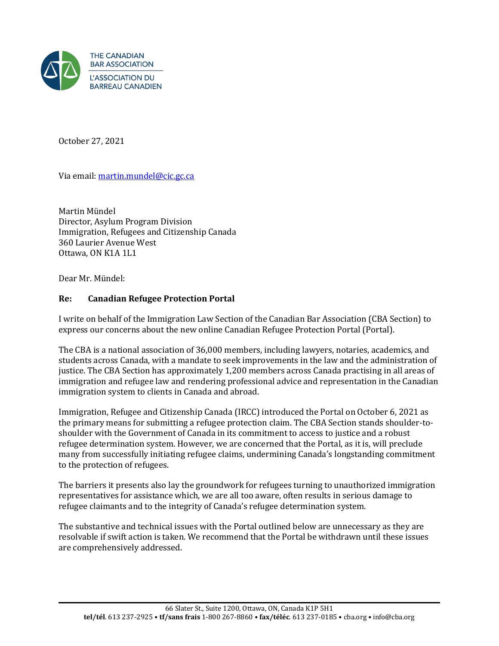

October 27, 2021

Via email: [martin.mundel@cic.gc.ca](mailto:martin.mundel@cic.gc.ca) 

Martin Mündel Director, Asylum Program Division Immigration, Refugees and Citizenship Canada 360 Laurier Avenue West Ottawa, ON K1A 1L1

Dear Mr. Mündel:

## **Re: Canadian Refugee Protection Portal**

I write on behalf of the Immigration Law Section of the Canadian Bar Association (CBA Section) to express our concerns about the new online Canadian Refugee Protection Portal (Portal).

The CBA is a national association of 36,000 members, including lawyers, notaries, academics, and students across Canada, with a mandate to seek improvements in the law and the administration of justice. The CBA Section has approximately 1,200 members across Canada practising in all areas of immigration and refugee law and rendering professional advice and representation in the Canadian immigration system to clients in Canada and abroad.

Immigration, Refugee and Citizenship Canada (IRCC) introduced the Portal on October 6, 2021 as the primary means for submitting a refugee protection claim. The CBA Section stands shoulder-toshoulder with the Government of Canada in its commitment to access to justice and a robust refugee determination system. However, we are concerned that the Portal, as it is, will preclude many from successfully initiating refugee claims, undermining Canada's longstanding commitment to the protection of refugees.

The barriers it presents also lay the groundwork for refugees turning to unauthorized immigration representatives for assistance which, we are all too aware, often results in serious damage to refugee claimants and to the integrity of Canada's refugee determination system.

The substantive and technical issues with the Portal outlined below are unnecessary as they are resolvable if swift action is taken. We recommend that the Portal be withdrawn until these issues are comprehensively addressed.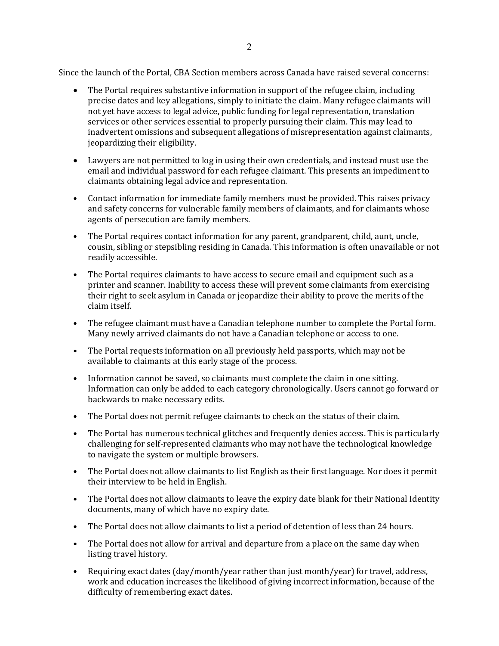Since the launch of the Portal, CBA Section members across Canada have raised several concerns:

- The Portal requires substantive information in support of the refugee claim, including precise dates and key allegations, simply to initiate the claim. Many refugee claimants will not yet have access to legal advice, public funding for legal representation, translation services or other services essential to properly pursuing their claim. This may lead to inadvertent omissions and subsequent allegations of misrepresentation against claimants, jeopardizing their eligibility.
- Lawyers are not permitted to log in using their own credentials, and instead must use the email and individual password for each refugee claimant. This presents an impediment to claimants obtaining legal advice and representation.
- Contact information for immediate family members must be provided. This raises privacy and safety concerns for vulnerable family members of claimants, and for claimants whose agents of persecution are family members.
- The Portal requires contact information for any parent, grandparent, child, aunt, uncle, cousin, sibling or stepsibling residing in Canada. This information is often unavailable or not readily accessible.
- The Portal requires claimants to have access to secure email and equipment such as a printer and scanner. Inability to access these will prevent some claimants from exercising their right to seek asylum in Canada or jeopardize their ability to prove the merits of the claim itself.
- The refugee claimant must have a Canadian telephone number to complete the Portal form. Many newly arrived claimants do not have a Canadian telephone or access to one.
- The Portal requests information on all previously held passports, which may not be available to claimants at this early stage of the process.
- Information cannot be saved, so claimants must complete the claim in one sitting. Information can only be added to each category chronologically. Users cannot go forward or backwards to make necessary edits.
- The Portal does not permit refugee claimants to check on the status of their claim.
- The Portal has numerous technical glitches and frequently denies access. This is particularly challenging for self-represented claimants who may not have the technological knowledge to navigate the system or multiple browsers.
- The Portal does not allow claimants to list English as their first language. Nor does it permit their interview to be held in English.
- The Portal does not allow claimants to leave the expiry date blank for their National Identity documents, many of which have no expiry date.
- The Portal does not allow claimants to list a period of detention of less than 24 hours.
- The Portal does not allow for arrival and departure from a place on the same day when listing travel history.
- Requiring exact dates (day/month/year rather than just month/year) for travel, address, work and education increases the likelihood of giving incorrect information, because of the difficulty of remembering exact dates.